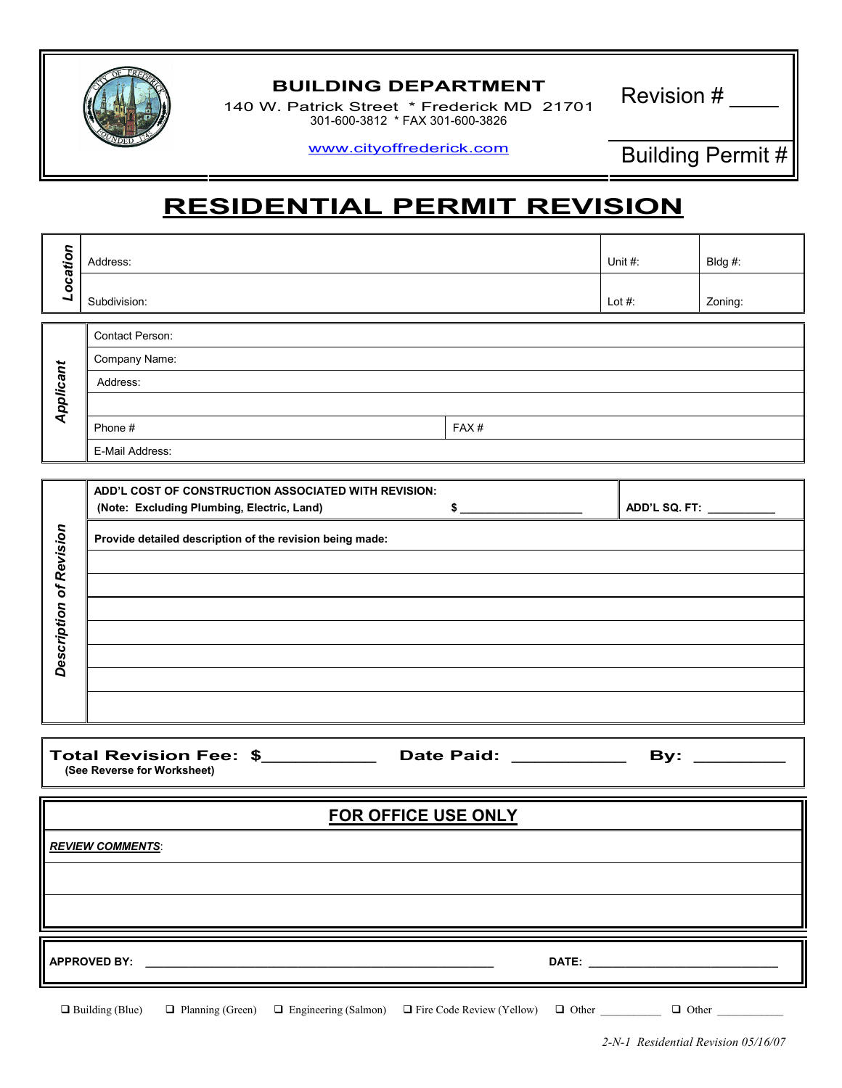

## BUILDING DEPARTMENT<br>Latrick Street \* Frederick MD 31701 Revision #

140 W. Patrick Street \* Frederick MD 21701 301-600-3812 \* FAX 301-600-3826

www.cityoffrederick.com Building Permit #

## RESIDENTIAL PERMIT REVISION

| Location                | Address:                                                 |             | Unit $#$ :                | Bldg #: |  |  |
|-------------------------|----------------------------------------------------------|-------------|---------------------------|---------|--|--|
|                         | Subdivision:                                             |             | Lot $#$ :                 | Zoning: |  |  |
| Applicant               | Contact Person:                                          |             |                           |         |  |  |
|                         | Company Name:                                            |             |                           |         |  |  |
|                         | Address:                                                 |             |                           |         |  |  |
|                         |                                                          |             |                           |         |  |  |
|                         | Phone #                                                  | FAX#        |                           |         |  |  |
|                         | E-Mail Address:                                          |             |                           |         |  |  |
|                         |                                                          |             |                           |         |  |  |
|                         | ADD'L COST OF CONSTRUCTION ASSOCIATED WITH REVISION:     |             |                           |         |  |  |
|                         | (Note: Excluding Plumbing, Electric, Land)               | $$^{\circ}$ | ADD'L SQ. FT: ___________ |         |  |  |
|                         | Provide detailed description of the revision being made: |             |                           |         |  |  |
|                         |                                                          |             |                           |         |  |  |
|                         |                                                          |             |                           |         |  |  |
|                         |                                                          |             |                           |         |  |  |
| Description of Revision |                                                          |             |                           |         |  |  |
|                         |                                                          |             |                           |         |  |  |
|                         |                                                          |             |                           |         |  |  |

Total Revision Fee: \$ \_\_\_\_\_\_\_\_\_\_ Date Paid: \_\_\_\_\_\_\_\_\_\_\_\_ By: \_\_\_\_\_\_\_\_ (See Reverse for Worksheet)

| <b>FOR OFFICE USE ONLY</b> |  |  |  |  |  |
|----------------------------|--|--|--|--|--|
|                            |  |  |  |  |  |
|                            |  |  |  |  |  |

 $\mathsf{APPROVED}\;\mathsf{BY}: \begin{equation} \end{equation}$ 

**REVIEW COMMENTS:** 

 $\Box$  Building (Blue)  $\Box$ Planning (Green)  $\Box$  Engineering (Salmon)  $\Box$  Fire Code Review (Yellow)  $\Box$  Other  $\Box$  Other  $\Box$